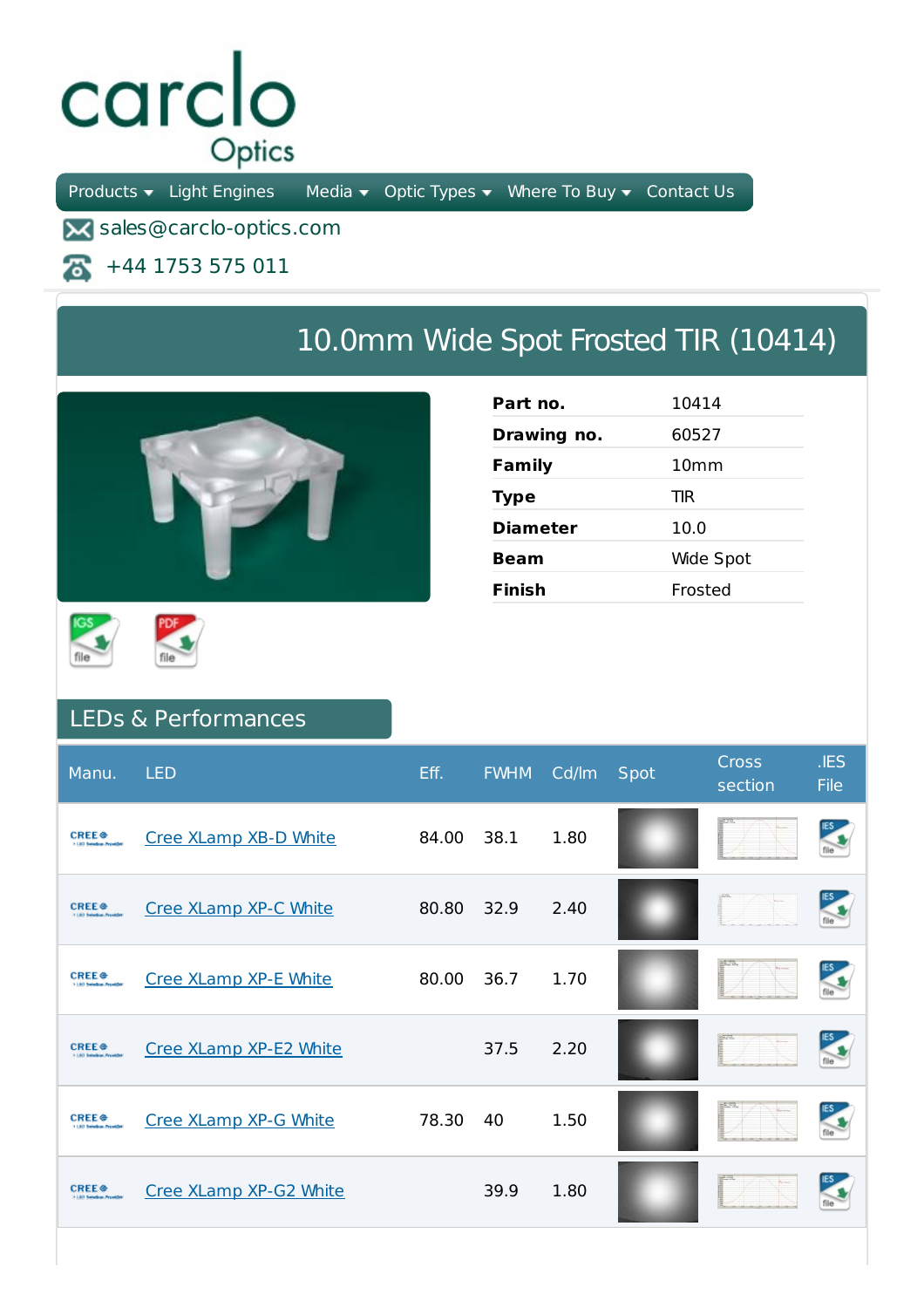## carclo Optics

Products  $\bullet$  Light Engines Media  $\bullet$  Optic Types  $\bullet$  Where To Buy  $\bullet$  Contact Us

**X** sales@carclo-optics.com

+44 1753 575 011 本

## 10.0mm Wide Spot Frosted TIR (10414)



| Part no.        | 10414            |
|-----------------|------------------|
| Drawing no.     | 60527            |
| Family          | 10 <sub>mm</sub> |
| <b>Type</b>     | TIR              |
| <b>Diameter</b> | 10.0             |
| Beam            | Wide Spot        |
| Finish          | Frosted          |
|                 |                  |





## LEDs & Performances

| Manu.                                                                    | <b>LED</b>             | Eff.  | <b>FWHM</b> | Cd/lm | Spot | <b>Cross</b><br>section | .IES<br><b>File</b> |
|--------------------------------------------------------------------------|------------------------|-------|-------------|-------|------|-------------------------|---------------------|
| <b>CREE</b> <sup><math>\bullet</math></sup><br>1-1.80 Salvellow, Provide | Cree XLamp XB-D White  | 84.00 | 38.1        | 1.80  |      |                         | ES<br>file          |
| <b>CREE<sup>®</sup></b>                                                  | Cree XLamp XP-C White  | 80.80 | 32.9        | 2.40  |      |                         |                     |
| <b>CREE</b> <sup><math>\oplus</math></sup><br>3-1-80 Salestine, Novald   | Cree XLamp XP-E White  | 80.00 | 36.7        | 1.70  |      |                         | <b>IES</b>          |
| <b>CREE<sup>®</sup></b>                                                  | Cree XLamp XP-E2 White |       | 37.5        | 2.20  |      |                         |                     |
| <b>CREE</b> <sup><math>\oplus</math></sup>                               | Cree XLamp XP-G White  | 78.30 | 40          | 1.50  |      |                         | <b>IES</b>          |
| <b>CREE</b> <sup><math>\oplus</math></sup><br>5.1.80 Salesbury President | Cree XLamp XP-G2 White |       | 39.9        | 1.80  |      |                         |                     |